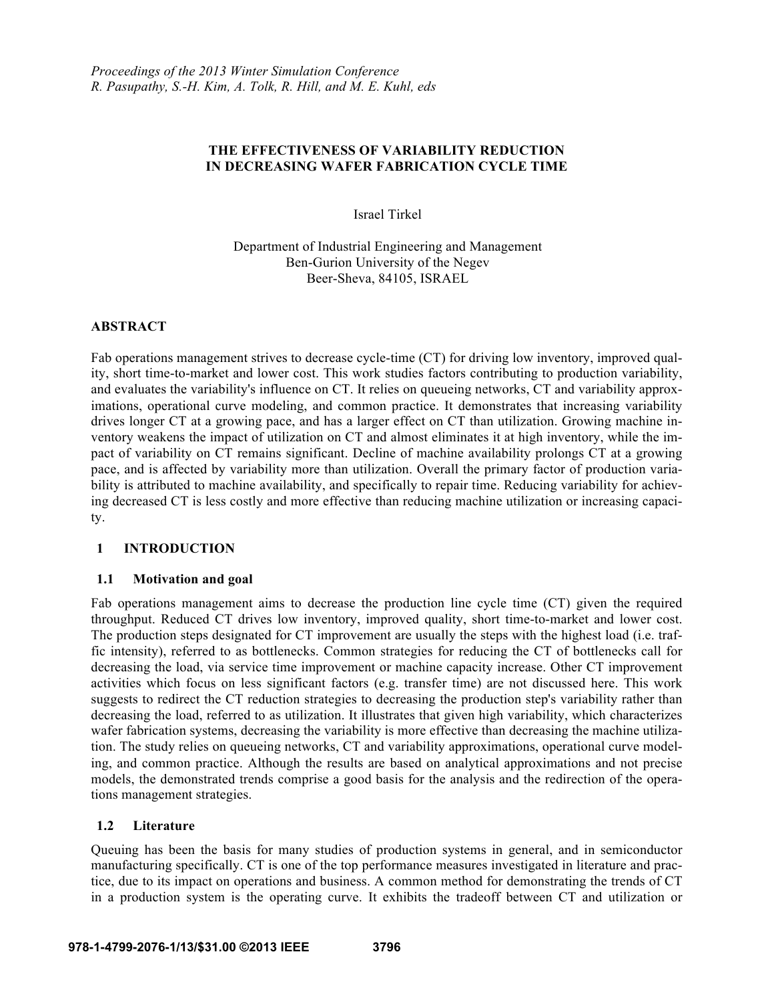# **THE EFFECTIVENESS OF VARIABILITY REDUCTION IN DECREASING WAFER FABRICATION CYCLE TIME**

Israel Tirkel

Department of Industrial Engineering and Management Ben-Gurion University of the Negev Beer-Sheva, 84105, ISRAEL

## **ABSTRACT**

Fab operations management strives to decrease cycle-time (CT) for driving low inventory, improved quality, short time-to-market and lower cost. This work studies factors contributing to production variability, and evaluates the variability's influence on CT. It relies on queueing networks, CT and variability approximations, operational curve modeling, and common practice. It demonstrates that increasing variability drives longer CT at a growing pace, and has a larger effect on CT than utilization. Growing machine inventory weakens the impact of utilization on CT and almost eliminates it at high inventory, while the impact of variability on CT remains significant. Decline of machine availability prolongs CT at a growing pace, and is affected by variability more than utilization. Overall the primary factor of production variability is attributed to machine availability, and specifically to repair time. Reducing variability for achieving decreased CT is less costly and more effective than reducing machine utilization or increasing capacity.

## **1 INTRODUCTION**

## **1.1 Motivation and goal**

Fab operations management aims to decrease the production line cycle time (CT) given the required throughput. Reduced CT drives low inventory, improved quality, short time-to-market and lower cost. The production steps designated for CT improvement are usually the steps with the highest load (i.e. traffic intensity), referred to as bottlenecks. Common strategies for reducing the CT of bottlenecks call for decreasing the load, via service time improvement or machine capacity increase. Other CT improvement activities which focus on less significant factors (e.g. transfer time) are not discussed here. This work suggests to redirect the CT reduction strategies to decreasing the production step's variability rather than decreasing the load, referred to as utilization. It illustrates that given high variability, which characterizes wafer fabrication systems, decreasing the variability is more effective than decreasing the machine utilization. The study relies on queueing networks, CT and variability approximations, operational curve modeling, and common practice. Although the results are based on analytical approximations and not precise models, the demonstrated trends comprise a good basis for the analysis and the redirection of the operations management strategies.

## **1.2 Literature**

Queuing has been the basis for many studies of production systems in general, and in semiconductor manufacturing specifically. CT is one of the top performance measures investigated in literature and practice, due to its impact on operations and business. A common method for demonstrating the trends of CT in a production system is the operating curve. It exhibits the tradeoff between CT and utilization or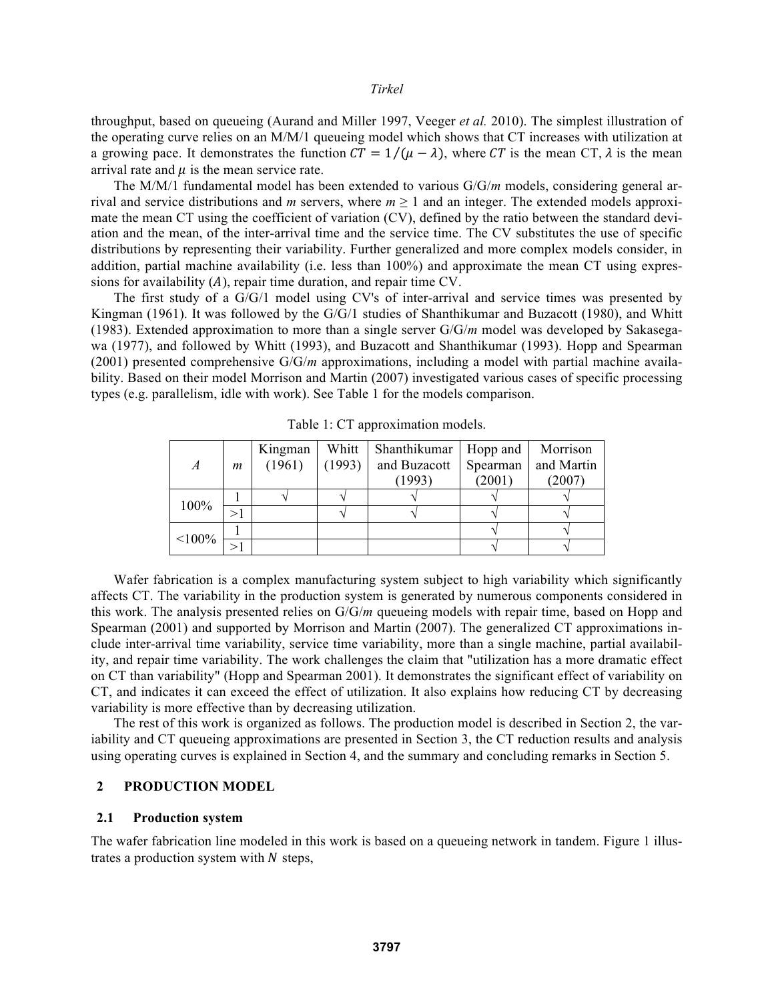throughput, based on queueing (Aurand and Miller 1997, Veeger *et al.* 2010). The simplest illustration of the operating curve relies on an M/M/1 queueing model which shows that CT increases with utilization at a growing pace. It demonstrates the function  $CT = 1/(\mu - \lambda)$ , where CT is the mean CT,  $\lambda$  is the mean arrival rate and  $\mu$  is the mean service rate.

The M/M/1 fundamental model has been extended to various G/G/*m* models, considering general arrival and service distributions and *m* servers, where  $m \ge 1$  and an integer. The extended models approximate the mean CT using the coefficient of variation (CV), defined by the ratio between the standard deviation and the mean, of the inter-arrival time and the service time. The CV substitutes the use of specific distributions by representing their variability. Further generalized and more complex models consider, in addition, partial machine availability (i.e. less than 100%) and approximate the mean CT using expressions for availability  $(A)$ , repair time duration, and repair time CV.

The first study of a G/G/1 model using CV's of inter-arrival and service times was presented by Kingman (1961). It was followed by the G/G/1 studies of Shanthikumar and Buzacott (1980), and Whitt (1983). Extended approximation to more than a single server G/G/*m* model was developed by Sakasegawa (1977), and followed by Whitt (1993), and Buzacott and Shanthikumar (1993). Hopp and Spearman (2001) presented comprehensive G/G/*m* approximations, including a model with partial machine availability. Based on their model Morrison and Martin (2007) investigated various cases of specific processing types (e.g. parallelism, idle with work). See Table 1 for the models comparison.

| $\overline{A}$ | $\mathfrak{m}$ | Kingman<br>(1961) | Whitt<br>(1993) | Shanthikumar<br>and Buzacott | Hopp and<br>Spearman | Morrison<br>and Martin |
|----------------|----------------|-------------------|-----------------|------------------------------|----------------------|------------------------|
|                |                |                   |                 | (1993)                       | (2001)               | (2007)                 |
| 100%           |                |                   |                 |                              |                      |                        |
|                |                |                   |                 |                              |                      |                        |
| $< 100\%$      |                |                   |                 |                              |                      |                        |
|                |                |                   |                 |                              |                      |                        |

Table 1: CT approximation models.

Wafer fabrication is a complex manufacturing system subject to high variability which significantly affects CT. The variability in the production system is generated by numerous components considered in this work. The analysis presented relies on G/G/*m* queueing models with repair time, based on Hopp and Spearman (2001) and supported by Morrison and Martin (2007). The generalized CT approximations include inter-arrival time variability, service time variability, more than a single machine, partial availability, and repair time variability. The work challenges the claim that "utilization has a more dramatic effect on CT than variability" (Hopp and Spearman 2001). It demonstrates the significant effect of variability on CT, and indicates it can exceed the effect of utilization. It also explains how reducing CT by decreasing variability is more effective than by decreasing utilization.

The rest of this work is organized as follows. The production model is described in Section 2, the variability and CT queueing approximations are presented in Section 3, the CT reduction results and analysis using operating curves is explained in Section 4, and the summary and concluding remarks in Section 5.

### **2 PRODUCTION MODEL**

#### **2.1 Production system**

The wafer fabrication line modeled in this work is based on a queueing network in tandem. Figure 1 illustrates a production system with  $N$  steps,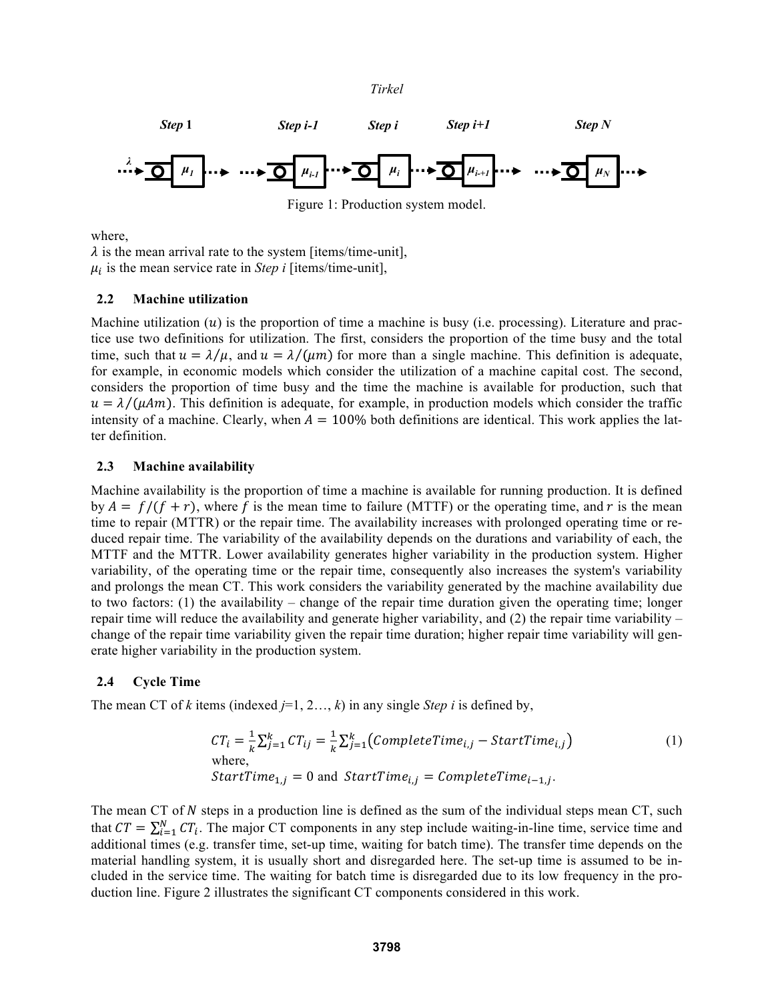*Tirkel*



where,

 $\lambda$  is the mean arrival rate to the system [items/time-unit],  $\mu_i$  is the mean service rate in *Step i* [items/time-unit],

### **2.2 Machine utilization**

Machine utilization  $(u)$  is the proportion of time a machine is busy (i.e. processing). Literature and practice use two definitions for utilization. The first, considers the proportion of the time busy and the total time, such that  $u = \lambda/\mu$ , and  $u = \lambda/(\mu m)$  for more than a single machine. This definition is adequate, for example, in economic models which consider the utilization of a machine capital cost. The second, considers the proportion of time busy and the time the machine is available for production, such that  $u = \lambda/(\mu Am)$ . This definition is adequate, for example, in production models which consider the traffic intensity of a machine. Clearly, when  $A = 100\%$  both definitions are identical. This work applies the latter definition.

### **2.3 Machine availability**

Machine availability is the proportion of time a machine is available for running production. It is defined by  $A = f/(f + r)$ , where f is the mean time to failure (MTTF) or the operating time, and r is the mean time to repair (MTTR) or the repair time. The availability increases with prolonged operating time or reduced repair time. The variability of the availability depends on the durations and variability of each, the MTTF and the MTTR. Lower availability generates higher variability in the production system. Higher variability, of the operating time or the repair time, consequently also increases the system's variability and prolongs the mean CT. This work considers the variability generated by the machine availability due to two factors: (1) the availability – change of the repair time duration given the operating time; longer repair time will reduce the availability and generate higher variability, and (2) the repair time variability – change of the repair time variability given the repair time duration; higher repair time variability will generate higher variability in the production system.

#### **2.4 Cycle Time**

The mean CT of *k* items (indexed  $j=1, 2, ..., k$ ) in any single *Step i* is defined by,

$$
CT_i = \frac{1}{k} \sum_{j=1}^{k} CT_{ij} = \frac{1}{k} \sum_{j=1}^{k} (CompleteTime_{i,j} - StartTime_{i,j})
$$
  
where,  
StartTime<sub>1,j</sub> = 0 and StartTime<sub>i,j</sub> = CompleteTime<sub>i-1,j</sub>.

The mean CT of  $N$  steps in a production line is defined as the sum of the individual steps mean CT, such that  $CT = \sum_{i=1}^{N} CT_i$ . The major CT components in any step include waiting-in-line time, service time and additional times (e.g. transfer time, set-up time, waiting for batch time). The transfer time depends on the material handling system, it is usually short and disregarded here. The set-up time is assumed to be included in the service time. The waiting for batch time is disregarded due to its low frequency in the production line. Figure 2 illustrates the significant CT components considered in this work.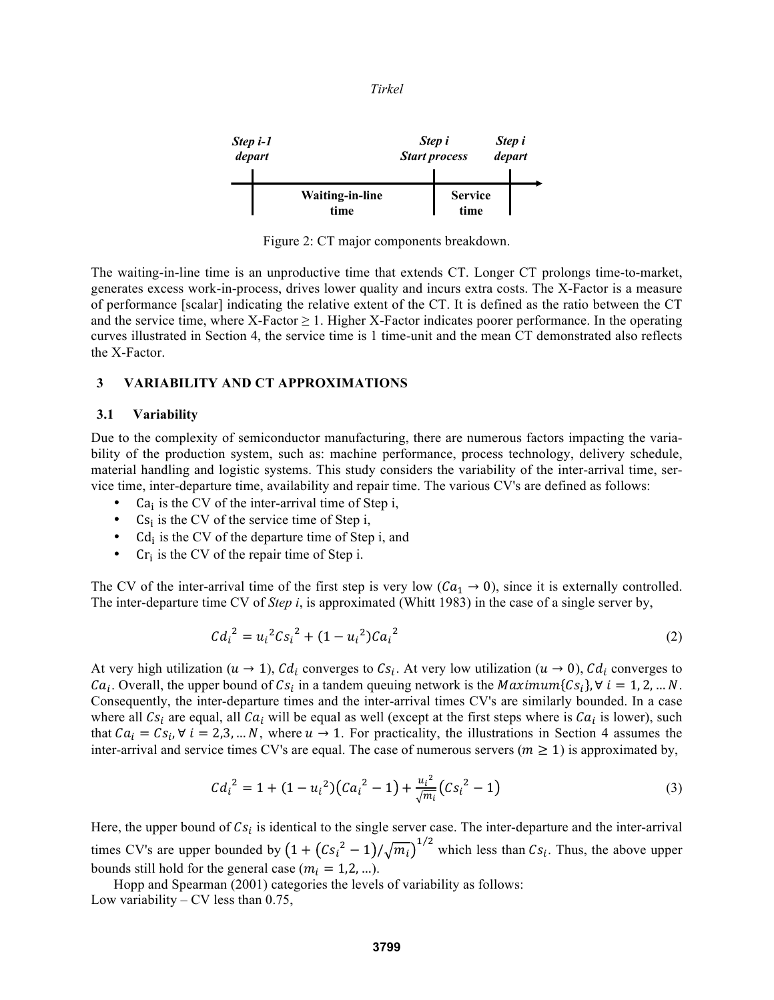

Figure 2: CT major components breakdown.

The waiting-in-line time is an unproductive time that extends CT. Longer CT prolongs time-to-market, generates excess work-in-process, drives lower quality and incurs extra costs. The X-Factor is a measure of performance [scalar] indicating the relative extent of the CT. It is defined as the ratio between the CT and the service time, where X-Factor  $\geq 1$ . Higher X-Factor indicates poorer performance. In the operating curves illustrated in Section 4, the service time is 1 time-unit and the mean CT demonstrated also reflects the X-Factor.

#### **3 VARIABILITY AND CT APPROXIMATIONS**

### **3.1 Variability**

Due to the complexity of semiconductor manufacturing, there are numerous factors impacting the variability of the production system, such as: machine performance, process technology, delivery schedule, material handling and logistic systems. This study considers the variability of the inter-arrival time, service time, inter-departure time, availability and repair time. The various CV's are defined as follows:

- $Ca<sub>i</sub>$  is the CV of the inter-arrival time of Step i,
- $Cs_i$  is the CV of the service time of Step i,
- $Cd<sub>i</sub>$  is the CV of the departure time of Step i, and
- Cr<sub>i</sub> is the CV of the repair time of Step i.

The CV of the inter-arrival time of the first step is very low  $(Ca_1 \rightarrow 0)$ , since it is externally controlled. The inter-departure time CV of *Step i*, is approximated (Whitt 1983) in the case of a single server by,

$$
Cd_i^2 = u_i^2Cs_i^2 + (1 - u_i^2)Ca_i^2
$$
 (2)

At very high utilization ( $u \to 1$ ),  $Cd_i$  converges to  $Cs_i$ . At very low utilization ( $u \to 0$ ),  $Cd_i$  converges to  $Ca_i$ . Overall, the upper bound of  $Cs_i$  in a tandem queuing network is the  $Maximum\{Cs_i\}$ ,  $\forall i = 1, 2, ... N$ . Consequently, the inter-departure times and the inter-arrival times CV's are similarly bounded. In a case where all  $Cs_i$  are equal, all  $Ca_i$  will be equal as well (except at the first steps where is  $Ca_i$  is lower), such that  $Ca_i = Cs_i$ ,  $\forall i = 2,3,...N$ , where  $u \rightarrow 1$ . For practicality, the illustrations in Section 4 assumes the inter-arrival and service times CV's are equal. The case of numerous servers ( $m \ge 1$ ) is approximated by,

$$
C{d_i}^2 = 1 + (1 - {u_i}^2)(Ca_i{}^2 - 1) + \frac{{u_i}^2}{\sqrt{m_i}}(Cs_i{}^2 - 1)
$$
\n(3)

Here, the upper bound of  $Cs_i$  is identical to the single server case. The inter-departure and the inter-arrival times CV's are upper bounded by  $(1 + (Cs_i^2 - 1)/\sqrt{m_i})^{1/2}$  which less than  $Cs_i$ . Thus, the above upper bounds still hold for the general case  $(m_i = 1,2, \ldots)$ .

Hopp and Spearman (2001) categories the levels of variability as follows: Low variability – CV less than  $0.75$ ,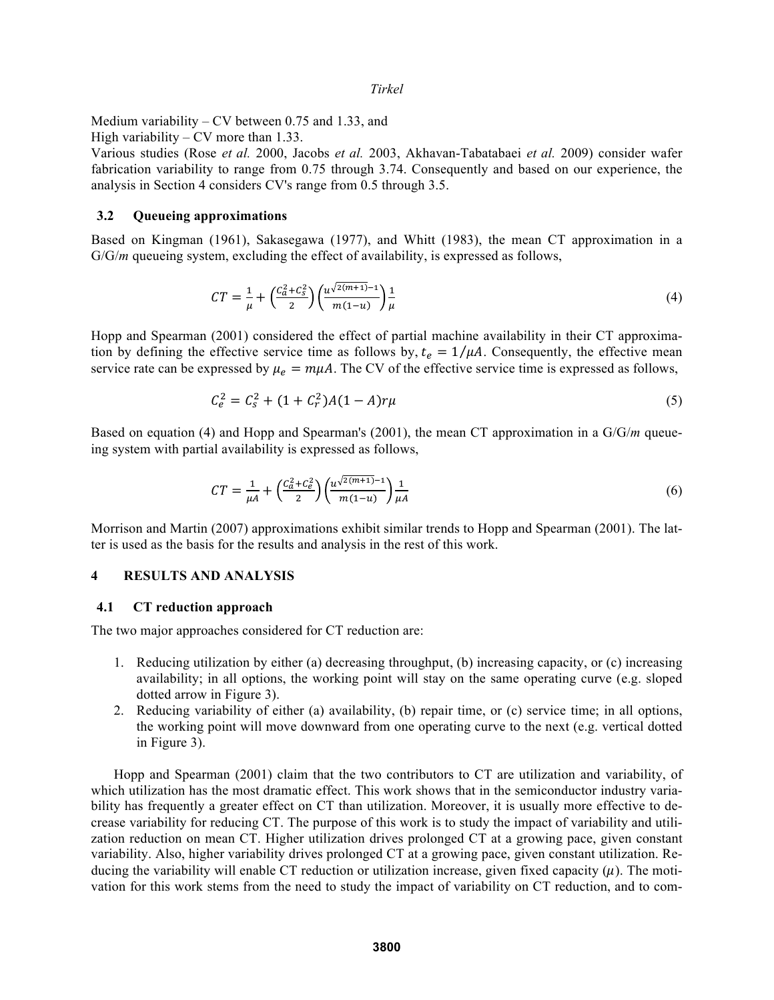Medium variability – CV between 0.75 and 1.33, and

High variability –  $CV$  more than 1.33.

Various studies (Rose *et al.* 2000, Jacobs *et al.* 2003, Akhavan-Tabatabaei *et al.* 2009) consider wafer fabrication variability to range from 0.75 through 3.74. Consequently and based on our experience, the analysis in Section 4 considers CV's range from 0.5 through 3.5.

### **3.2 Queueing approximations**

Based on Kingman (1961), Sakasegawa (1977), and Whitt (1983), the mean CT approximation in a G/G/*m* queueing system, excluding the effect of availability, is expressed as follows,

$$
CT = \frac{1}{\mu} + \left(\frac{C_a^2 + C_s^2}{2}\right) \left(\frac{u^{\sqrt{2(m+1)} - 1}}{m(1 - u)}\right) \frac{1}{\mu}
$$
(4)

Hopp and Spearman (2001) considered the effect of partial machine availability in their CT approximation by defining the effective service time as follows by,  $t_e = 1/\mu A$ . Consequently, the effective mean service rate can be expressed by  $\mu_e = m\mu A$ . The CV of the effective service time is expressed as follows,

$$
C_e^2 = C_s^2 + (1 + C_r^2)A(1 - A)r\mu
$$
\n(5)

Based on equation (4) and Hopp and Spearman's (2001), the mean CT approximation in a G/G/*m* queueing system with partial availability is expressed as follows,

$$
CT = \frac{1}{\mu A} + \left(\frac{C_d^2 + C_e^2}{2}\right) \left(\frac{u^{\sqrt{2(m+1)}-1}}{m(1-u)}\right) \frac{1}{\mu A}
$$
(6)

Morrison and Martin (2007) approximations exhibit similar trends to Hopp and Spearman (2001). The latter is used as the basis for the results and analysis in the rest of this work.

## **4 RESULTS AND ANALYSIS**

### **4.1 CT reduction approach**

The two major approaches considered for CT reduction are:

- 1. Reducing utilization by either (a) decreasing throughput, (b) increasing capacity, or (c) increasing availability; in all options, the working point will stay on the same operating curve (e.g. sloped dotted arrow in Figure 3).
- 2. Reducing variability of either (a) availability, (b) repair time, or (c) service time; in all options, the working point will move downward from one operating curve to the next (e.g. vertical dotted in Figure 3).

Hopp and Spearman (2001) claim that the two contributors to CT are utilization and variability, of which utilization has the most dramatic effect. This work shows that in the semiconductor industry variability has frequently a greater effect on CT than utilization. Moreover, it is usually more effective to decrease variability for reducing CT. The purpose of this work is to study the impact of variability and utilization reduction on mean CT. Higher utilization drives prolonged CT at a growing pace, given constant variability. Also, higher variability drives prolonged CT at a growing pace, given constant utilization. Reducing the variability will enable CT reduction or utilization increase, given fixed capacity  $(\mu)$ . The motivation for this work stems from the need to study the impact of variability on CT reduction, and to com-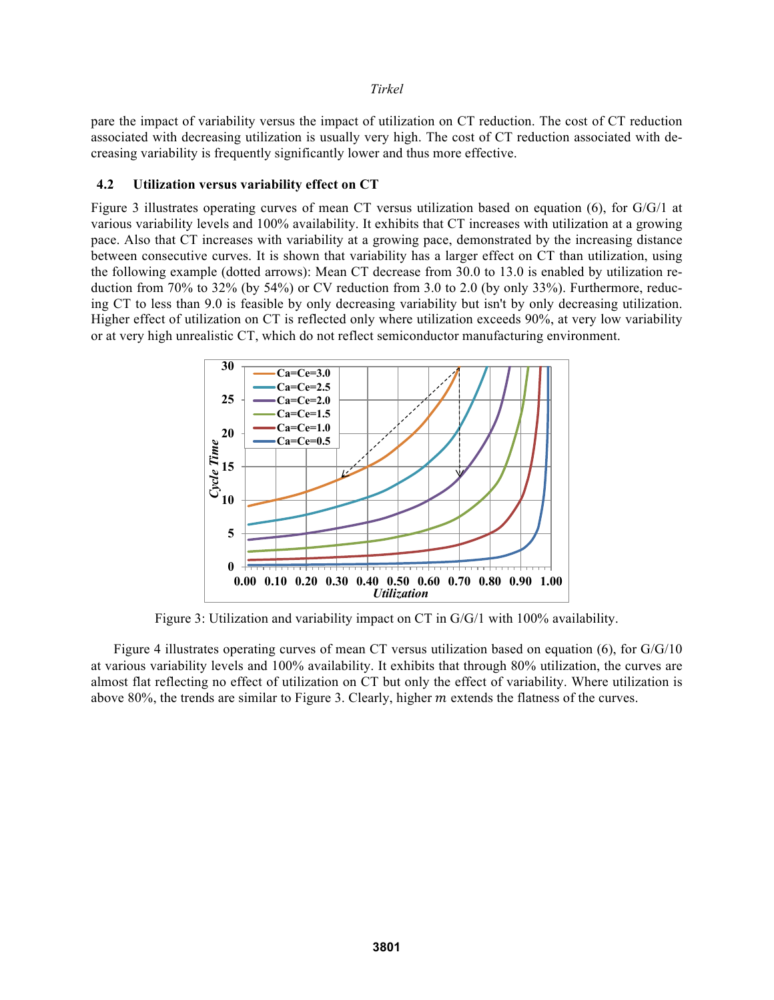pare the impact of variability versus the impact of utilization on CT reduction. The cost of CT reduction associated with decreasing utilization is usually very high. The cost of CT reduction associated with decreasing variability is frequently significantly lower and thus more effective.

### **4.2 Utilization versus variability effect on CT**

Figure 3 illustrates operating curves of mean CT versus utilization based on equation (6), for G/G/1 at various variability levels and 100% availability. It exhibits that CT increases with utilization at a growing pace. Also that CT increases with variability at a growing pace, demonstrated by the increasing distance between consecutive curves. It is shown that variability has a larger effect on CT than utilization, using the following example (dotted arrows): Mean CT decrease from 30.0 to 13.0 is enabled by utilization reduction from 70% to 32% (by 54%) or CV reduction from 3.0 to 2.0 (by only 33%). Furthermore, reducing CT to less than 9.0 is feasible by only decreasing variability but isn't by only decreasing utilization. Higher effect of utilization on CT is reflected only where utilization exceeds 90%, at very low variability or at very high unrealistic CT, which do not reflect semiconductor manufacturing environment.



Figure 3: Utilization and variability impact on CT in G/G/1 with 100% availability.

Figure 4 illustrates operating curves of mean CT versus utilization based on equation (6), for G/G/10 at various variability levels and 100% availability. It exhibits that through 80% utilization, the curves are almost flat reflecting no effect of utilization on CT but only the effect of variability. Where utilization is above 80%, the trends are similar to Figure 3. Clearly, higher  $m$  extends the flatness of the curves.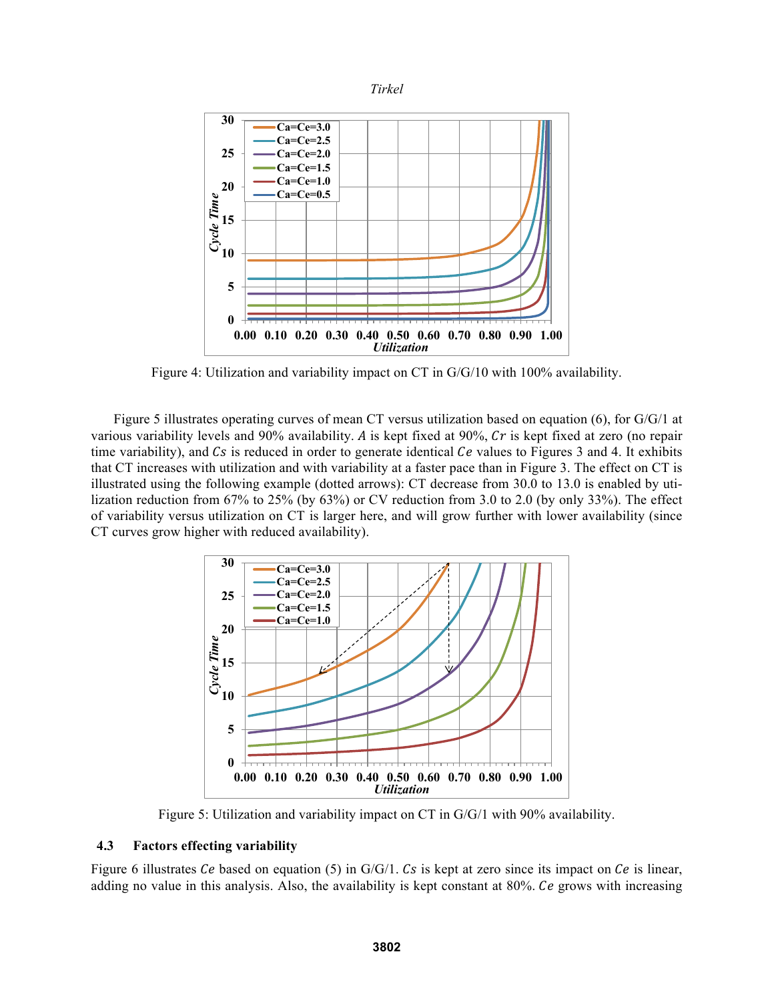

Figure 4: Utilization and variability impact on CT in G/G/10 with 100% availability.

Figure 5 illustrates operating curves of mean CT versus utilization based on equation (6), for G/G/1 at various variability levels and 90% availability. A is kept fixed at 90%,  $Cr$  is kept fixed at zero (no repair time variability), and  $Cs$  is reduced in order to generate identical  $Ce$  values to Figures 3 and 4. It exhibits that CT increases with utilization and with variability at a faster pace than in Figure 3. The effect on CT is illustrated using the following example (dotted arrows): CT decrease from 30.0 to 13.0 is enabled by utilization reduction from 67% to 25% (by 63%) or CV reduction from 3.0 to 2.0 (by only 33%). The effect of variability versus utilization on CT is larger here, and will grow further with lower availability (since CT curves grow higher with reduced availability).



Figure 5: Utilization and variability impact on CT in G/G/1 with 90% availability.

# **4.3 Factors effecting variability**

Figure 6 illustrates *Ce* based on equation (5) in  $G/G/1$ . *Cs* is kept at zero since its impact on *Ce* is linear, adding no value in this analysis. Also, the availability is kept constant at  $80\%$ . Ce grows with increasing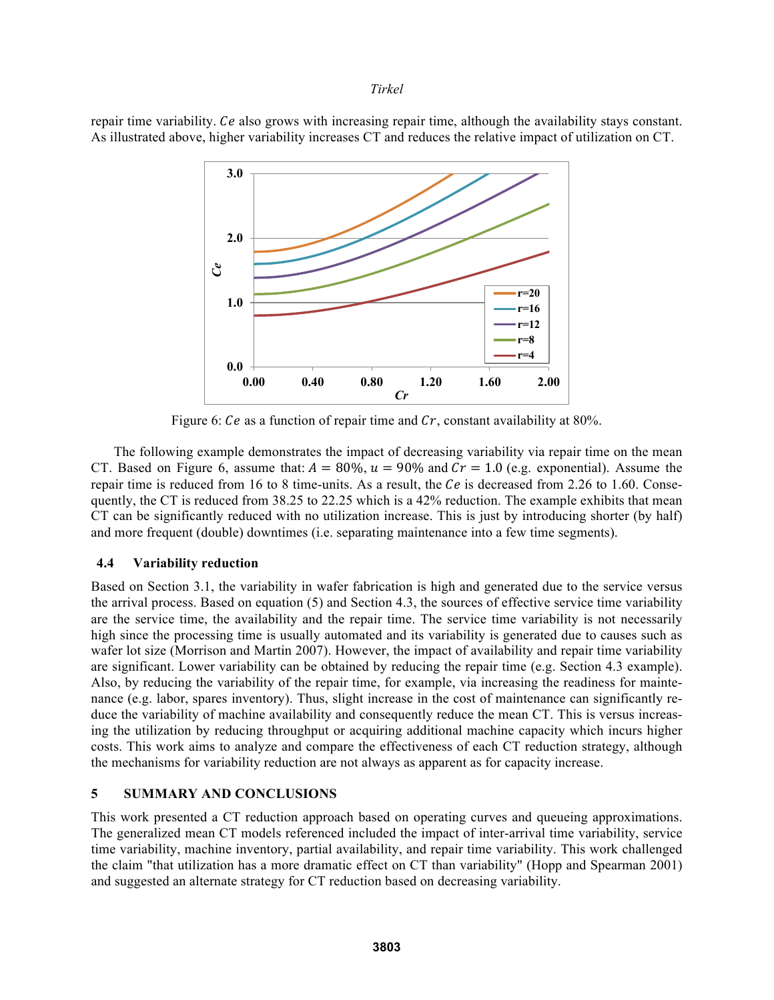repair time variability.  $Ce$  also grows with increasing repair time, although the availability stays constant. As illustrated above, higher variability increases CT and reduces the relative impact of utilization on CT.



Figure 6: *Ce* as a function of repair time and  $Cr$ , constant availability at 80%.

The following example demonstrates the impact of decreasing variability via repair time on the mean CT. Based on Figure 6, assume that:  $A = 80\%$ ,  $u = 90\%$  and  $Cr = 1.0$  (e.g. exponential). Assume the repair time is reduced from 16 to 8 time-units. As a result, the  $Ce$  is decreased from 2.26 to 1.60. Consequently, the CT is reduced from 38.25 to 22.25 which is a 42% reduction. The example exhibits that mean CT can be significantly reduced with no utilization increase. This is just by introducing shorter (by half) and more frequent (double) downtimes (i.e. separating maintenance into a few time segments).

### **4.4 Variability reduction**

Based on Section 3.1, the variability in wafer fabrication is high and generated due to the service versus the arrival process. Based on equation (5) and Section 4.3, the sources of effective service time variability are the service time, the availability and the repair time. The service time variability is not necessarily high since the processing time is usually automated and its variability is generated due to causes such as wafer lot size (Morrison and Martin 2007). However, the impact of availability and repair time variability are significant. Lower variability can be obtained by reducing the repair time (e.g. Section 4.3 example). Also, by reducing the variability of the repair time, for example, via increasing the readiness for maintenance (e.g. labor, spares inventory). Thus, slight increase in the cost of maintenance can significantly reduce the variability of machine availability and consequently reduce the mean CT. This is versus increasing the utilization by reducing throughput or acquiring additional machine capacity which incurs higher costs. This work aims to analyze and compare the effectiveness of each CT reduction strategy, although the mechanisms for variability reduction are not always as apparent as for capacity increase.

## **5 SUMMARY AND CONCLUSIONS**

This work presented a CT reduction approach based on operating curves and queueing approximations. The generalized mean CT models referenced included the impact of inter-arrival time variability, service time variability, machine inventory, partial availability, and repair time variability. This work challenged the claim "that utilization has a more dramatic effect on CT than variability" (Hopp and Spearman 2001) and suggested an alternate strategy for CT reduction based on decreasing variability.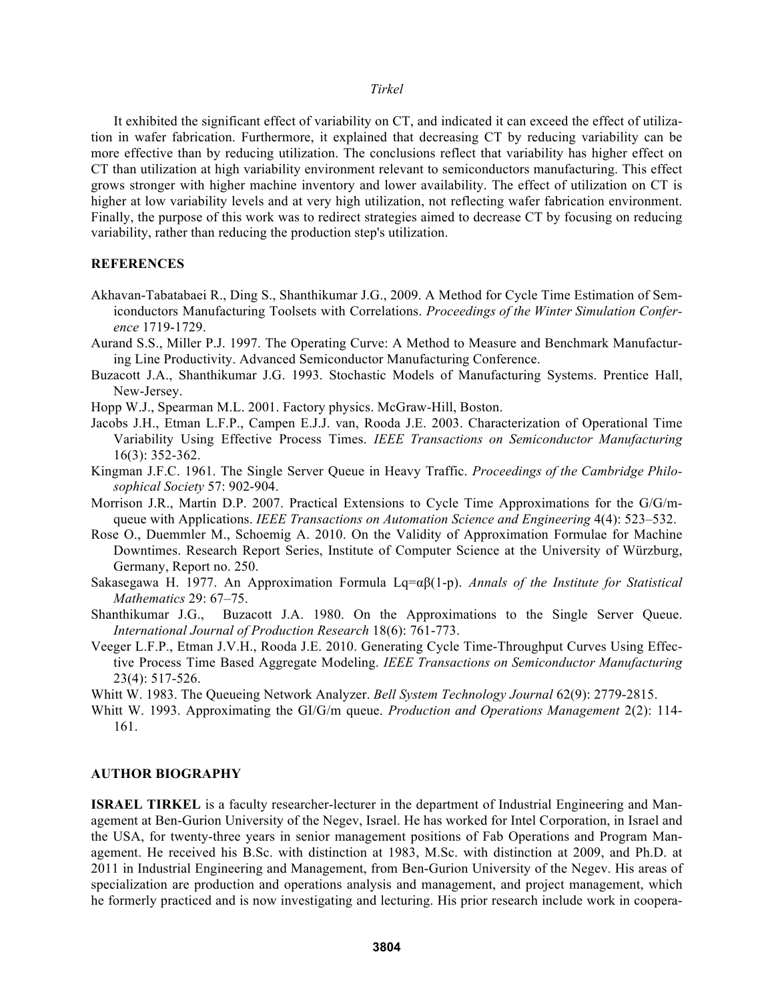It exhibited the significant effect of variability on CT, and indicated it can exceed the effect of utilization in wafer fabrication. Furthermore, it explained that decreasing CT by reducing variability can be more effective than by reducing utilization. The conclusions reflect that variability has higher effect on CT than utilization at high variability environment relevant to semiconductors manufacturing. This effect grows stronger with higher machine inventory and lower availability. The effect of utilization on CT is higher at low variability levels and at very high utilization, not reflecting wafer fabrication environment. Finally, the purpose of this work was to redirect strategies aimed to decrease CT by focusing on reducing variability, rather than reducing the production step's utilization.

## **REFERENCES**

- Akhavan-Tabatabaei R., Ding S., Shanthikumar J.G., 2009. A Method for Cycle Time Estimation of Semiconductors Manufacturing Toolsets with Correlations. *Proceedings of the Winter Simulation Conference* 1719-1729.
- Aurand S.S., Miller P.J. 1997. The Operating Curve: A Method to Measure and Benchmark Manufacturing Line Productivity. Advanced Semiconductor Manufacturing Conference.
- Buzacott J.A., Shanthikumar J.G. 1993. Stochastic Models of Manufacturing Systems. Prentice Hall, New-Jersey.
- Hopp W.J., Spearman M.L. 2001. Factory physics. McGraw-Hill, Boston.
- Jacobs J.H., Etman L.F.P., Campen E.J.J. van, Rooda J.E. 2003. Characterization of Operational Time Variability Using Effective Process Times. *IEEE Transactions on Semiconductor Manufacturing* 16(3): 352-362.
- Kingman J.F.C. 1961. The Single Server Queue in Heavy Traffic. *Proceedings of the Cambridge Philosophical Society* 57: 902-904.
- Morrison J.R., Martin D.P. 2007. Practical Extensions to Cycle Time Approximations for the G/G/mqueue with Applications. *IEEE Transactions on Automation Science and Engineering* 4(4): 523–532.
- Rose O., Duemmler M., Schoemig A. 2010. On the Validity of Approximation Formulae for Machine Downtimes. Research Report Series, Institute of Computer Science at the University of Würzburg, Germany, Report no. 250.
- Sakasegawa H. 1977. An Approximation Formula Lq=αβ(1-p). *Annals of the Institute for Statistical Mathematics* 29: 67–75.
- Shanthikumar J.G., Buzacott J.A. 1980. On the Approximations to the Single Server Queue. *International Journal of Production Research* 18(6): 761-773.
- Veeger L.F.P., Etman J.V.H., Rooda J.E. 2010. Generating Cycle Time-Throughput Curves Using Effective Process Time Based Aggregate Modeling. *IEEE Transactions on Semiconductor Manufacturing* 23(4): 517-526.
- Whitt W. 1983. The Queueing Network Analyzer. *Bell System Technology Journal* 62(9): 2779-2815.
- Whitt W. 1993. Approximating the GI/G/m queue. *Production and Operations Management* 2(2): 114- 161.

### **AUTHOR BIOGRAPHY**

**ISRAEL TIRKEL** is a faculty researcher-lecturer in the department of Industrial Engineering and Management at Ben-Gurion University of the Negev, Israel. He has worked for Intel Corporation, in Israel and the USA, for twenty-three years in senior management positions of Fab Operations and Program Management. He received his B.Sc. with distinction at 1983, M.Sc. with distinction at 2009, and Ph.D. at 2011 in Industrial Engineering and Management, from Ben-Gurion University of the Negev. His areas of specialization are production and operations analysis and management, and project management, which he formerly practiced and is now investigating and lecturing. His prior research include work in coopera-